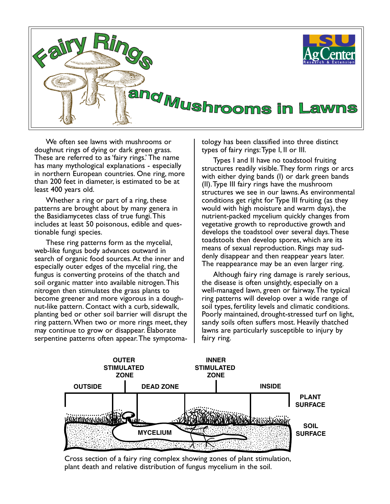

We often see lawns with mushrooms or doughnut rings of dying or dark green grass. These are referred to as 'fairy rings.' The name has many mythological explanations - especially in northern European countries. One ring, more than 200 feet in diameter, is estimated to be at least 400 years old.

Whether a ring or part of a ring, these patterns are brought about by many genera in the Basidiamycetes class of true fungi. This includes at least 50 poisonous, edible and questionable fungi species.

These ring patterns form as the mycelial, web-like fungus body advances outward in search of organic food sources. At the inner and especially outer edges of the mycelial ring, the fungus is converting proteins of the thatch and soil organic matter into available nitrogen. This nitrogen then stimulates the grass plants to become greener and more vigorous in a doughnut-like pattern. Contact with a curb, sidewalk, planting bed or other soil barrier will disrupt the ring pattern. When two or more rings meet, they may continue to grow or disappear. Elaborate serpentine patterns often appear. The symptomatology has been classified into three distinct types of fairy rings: Type I, II or III.

Types I and II have no toadstool fruiting structures readily visible. They form rings or arcs with either dying bands (I) or dark green bands (II). Type III fairy rings have the mushroom structures we see in our lawns. As environmental conditions get right for Type III fruiting (as they would with high moisture and warm days), the nutrient-packed mycelium quickly changes from vegetative growth to reproductive growth and develops the toadstool over several days. These toadstools then develop spores, which are its means of sexual reproduction. Rings may suddenly disappear and then reappear years later. The reappearance may be an even larger ring.

Although fairy ring damage is rarely serious, the disease is often unsightly, especially on a well-managed lawn, green or fairway. The typical ring patterns will develop over a wide range of soil types, fertility levels and climatic conditions. Poorly maintained, drought-stressed turf on light, sandy soils often suffers most. Heavily thatched lawns are particularly susceptible to injury by fairy ring.



Cross section of a fairy ring complex showing zones of plant stimulation, plant death and relative distribution of fungus mycelium in the soil.